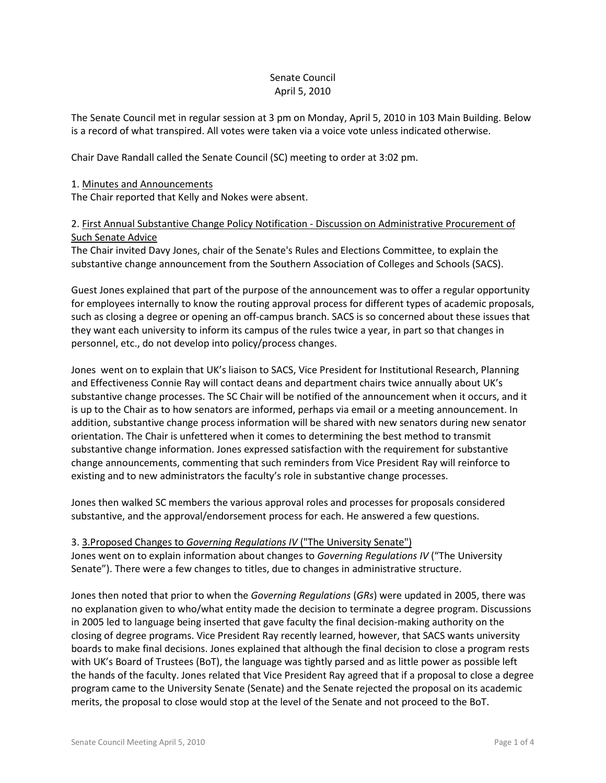# Senate Council April 5, 2010

The Senate Council met in regular session at 3 pm on Monday, April 5, 2010 in 103 Main Building. Below is a record of what transpired. All votes were taken via a voice vote unless indicated otherwise.

Chair Dave Randall called the Senate Council (SC) meeting to order at 3:02 pm.

### 1. Minutes and Announcements

The Chair reported that Kelly and Nokes were absent.

# 2. First Annual Substantive Change Policy Notification - Discussion on Administrative Procurement of Such Senate Advice

The Chair invited Davy Jones, chair of the Senate's Rules and Elections Committee, to explain the substantive change announcement from the Southern Association of Colleges and Schools (SACS).

Guest Jones explained that part of the purpose of the announcement was to offer a regular opportunity for employees internally to know the routing approval process for different types of academic proposals, such as closing a degree or opening an off-campus branch. SACS is so concerned about these issues that they want each university to inform its campus of the rules twice a year, in part so that changes in personnel, etc., do not develop into policy/process changes.

Jones went on to explain that UK's liaison to SACS, Vice President for Institutional Research, Planning and Effectiveness Connie Ray will contact deans and department chairs twice annually about UK's substantive change processes. The SC Chair will be notified of the announcement when it occurs, and it is up to the Chair as to how senators are informed, perhaps via email or a meeting announcement. In addition, substantive change process information will be shared with new senators during new senator orientation. The Chair is unfettered when it comes to determining the best method to transmit substantive change information. Jones expressed satisfaction with the requirement for substantive change announcements, commenting that such reminders from Vice President Ray will reinforce to existing and to new administrators the faculty's role in substantive change processes.

Jones then walked SC members the various approval roles and processes for proposals considered substantive, and the approval/endorsement process for each. He answered a few questions.

# 3. 3.Proposed Changes to *Governing Regulations IV* ("The University Senate")

Jones went on to explain information about changes to *Governing Regulations IV* ("The University Senate"). There were a few changes to titles, due to changes in administrative structure.

Jones then noted that prior to when the *Governing Regulations* (*GRs*) were updated in 2005, there was no explanation given to who/what entity made the decision to terminate a degree program. Discussions in 2005 led to language being inserted that gave faculty the final decision-making authority on the closing of degree programs. Vice President Ray recently learned, however, that SACS wants university boards to make final decisions. Jones explained that although the final decision to close a program rests with UK's Board of Trustees (BoT), the language was tightly parsed and as little power as possible left the hands of the faculty. Jones related that Vice President Ray agreed that if a proposal to close a degree program came to the University Senate (Senate) and the Senate rejected the proposal on its academic merits, the proposal to close would stop at the level of the Senate and not proceed to the BoT.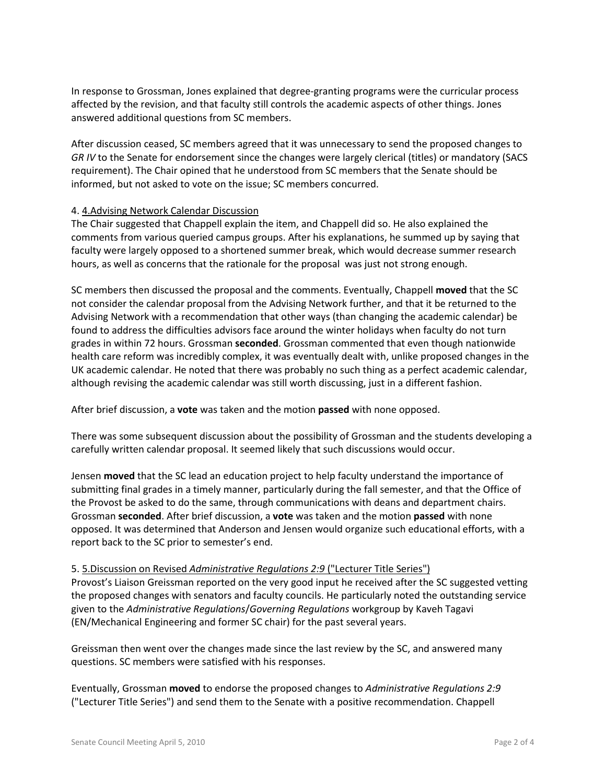In response to Grossman, Jones explained that degree-granting programs were the curricular process affected by the revision, and that faculty still controls the academic aspects of other things. Jones answered additional questions from SC members.

After discussion ceased, SC members agreed that it was unnecessary to send the proposed changes to *GR IV* to the Senate for endorsement since the changes were largely clerical (titles) or mandatory (SACS requirement). The Chair opined that he understood from SC members that the Senate should be informed, but not asked to vote on the issue; SC members concurred.

# 4. 4.Advising Network Calendar Discussion

The Chair suggested that Chappell explain the item, and Chappell did so. He also explained the comments from various queried campus groups. After his explanations, he summed up by saying that faculty were largely opposed to a shortened summer break, which would decrease summer research hours, as well as concerns that the rationale for the proposal was just not strong enough.

SC members then discussed the proposal and the comments. Eventually, Chappell **moved** that the SC not consider the calendar proposal from the Advising Network further, and that it be returned to the Advising Network with a recommendation that other ways (than changing the academic calendar) be found to address the difficulties advisors face around the winter holidays when faculty do not turn grades in within 72 hours. Grossman **seconded**. Grossman commented that even though nationwide health care reform was incredibly complex, it was eventually dealt with, unlike proposed changes in the UK academic calendar. He noted that there was probably no such thing as a perfect academic calendar, although revising the academic calendar was still worth discussing, just in a different fashion.

#### After brief discussion, a **vote** was taken and the motion **passed** with none opposed.

There was some subsequent discussion about the possibility of Grossman and the students developing a carefully written calendar proposal. It seemed likely that such discussions would occur.

Jensen **moved** that the SC lead an education project to help faculty understand the importance of submitting final grades in a timely manner, particularly during the fall semester, and that the Office of the Provost be asked to do the same, through communications with deans and department chairs. Grossman **seconded**. After brief discussion, a **vote** was taken and the motion **passed** with none opposed. It was determined that Anderson and Jensen would organize such educational efforts, with a report back to the SC prior to semester's end.

#### 5. 5.Discussion on Revised *Administrative Regulations 2:9* ("Lecturer Title Series")

Provost's Liaison Greissman reported on the very good input he received after the SC suggested vetting the proposed changes with senators and faculty councils. He particularly noted the outstanding service given to the *Administrative Regulations*/*Governing Regulations* workgroup by Kaveh Tagavi (EN/Mechanical Engineering and former SC chair) for the past several years.

Greissman then went over the changes made since the last review by the SC, and answered many questions. SC members were satisfied with his responses.

Eventually, Grossman **moved** to endorse the proposed changes to *Administrative Regulations 2:9* ("Lecturer Title Series") and send them to the Senate with a positive recommendation. Chappell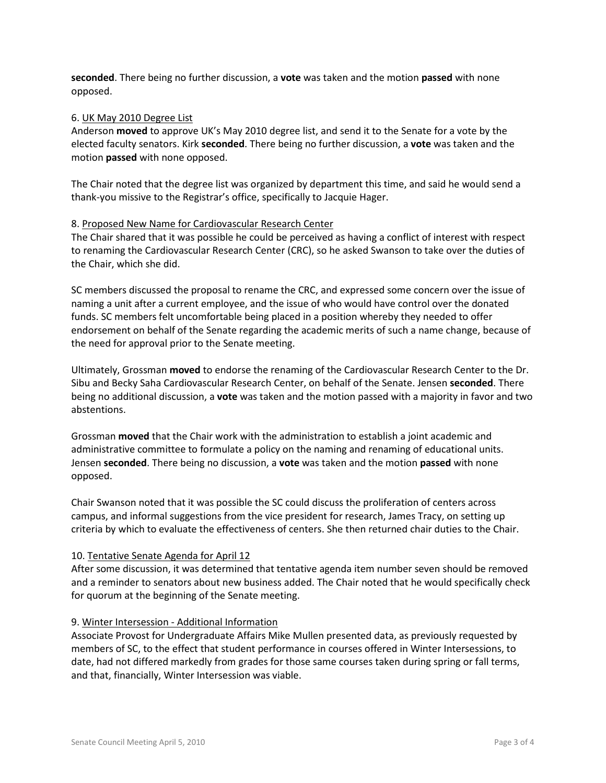**seconded**. There being no further discussion, a **vote** was taken and the motion **passed** with none opposed.

#### 6. UK May 2010 Degree List

Anderson **moved** to approve UK's May 2010 degree list, and send it to the Senate for a vote by the elected faculty senators. Kirk **seconded**. There being no further discussion, a **vote** was taken and the motion **passed** with none opposed.

The Chair noted that the degree list was organized by department this time, and said he would send a thank-you missive to the Registrar's office, specifically to Jacquie Hager.

### 8. Proposed New Name for Cardiovascular Research Center

The Chair shared that it was possible he could be perceived as having a conflict of interest with respect to renaming the Cardiovascular Research Center (CRC), so he asked Swanson to take over the duties of the Chair, which she did.

SC members discussed the proposal to rename the CRC, and expressed some concern over the issue of naming a unit after a current employee, and the issue of who would have control over the donated funds. SC members felt uncomfortable being placed in a position whereby they needed to offer endorsement on behalf of the Senate regarding the academic merits of such a name change, because of the need for approval prior to the Senate meeting.

Ultimately, Grossman **moved** to endorse the renaming of the Cardiovascular Research Center to the Dr. Sibu and Becky Saha Cardiovascular Research Center, on behalf of the Senate. Jensen **seconded**. There being no additional discussion, a **vote** was taken and the motion passed with a majority in favor and two abstentions.

Grossman **moved** that the Chair work with the administration to establish a joint academic and administrative committee to formulate a policy on the naming and renaming of educational units. Jensen **seconded**. There being no discussion, a **vote** was taken and the motion **passed** with none opposed.

Chair Swanson noted that it was possible the SC could discuss the proliferation of centers across campus, and informal suggestions from the vice president for research, James Tracy, on setting up criteria by which to evaluate the effectiveness of centers. She then returned chair duties to the Chair.

#### 10. Tentative Senate Agenda for April 12

After some discussion, it was determined that tentative agenda item number seven should be removed and a reminder to senators about new business added. The Chair noted that he would specifically check for quorum at the beginning of the Senate meeting.

#### 9. Winter Intersession - Additional Information

Associate Provost for Undergraduate Affairs Mike Mullen presented data, as previously requested by members of SC, to the effect that student performance in courses offered in Winter Intersessions, to date, had not differed markedly from grades for those same courses taken during spring or fall terms, and that, financially, Winter Intersession was viable.